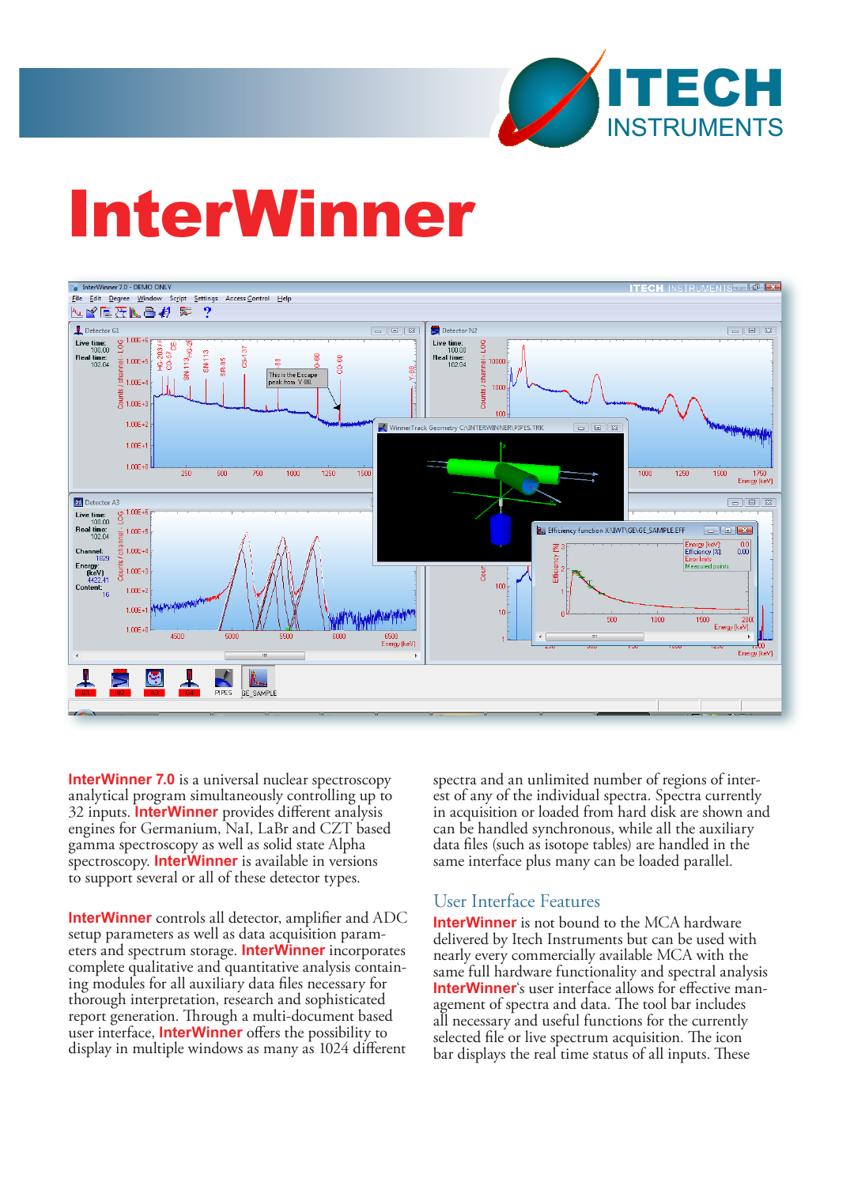

# InterWinner



**InterWinner 7.0** is a universal nuclear spectroscopy analytical program simultaneously controlling up to 32 inputs. **InterWinner** provides different analysis engines for Germanium, NaI, LaBr and CZT based gamma spectroscopy as well as solid state Alpha spectroscopy. **InterWinner** is available in versions to support several or all of these detector types.

**InterWinner** controls all detector, amplifier and ADC setup parameters as well as data acquisition parameters and spectrum storage. **InterWinner** incorporates complete qualitative and quantitative analysis containing modules for all auxiliary data files necessary for thorough interpretation, research and sophisticated report generation. Through a multi-document based user interface, **InterWinner** offers the possibility to display in multiple windows as many as 1024 different

spectra and an unlimited number of regions of inter-<br>est of any of the individual spectra. Spectra currently in acquisition or loaded from hard disk are shown and can be handled synchronous, while all the auxiliary data files (such as isotope tables) are handled in the same interface plus many can be loaded parallel.

# User Interface Features

**InterWinner** is not bound to the MCA hardware delivered by Itech Instruments but can be used with nearly every commercially available MCA with the same full hardware functionality and spectral analysis **InterWinner**'s user interface allows for effective management of spectra and data. The tool bar includes all necessary and useful functions for the currently selected file or live spectrum acquisition. The icon bar displays the real time status of all inputs. These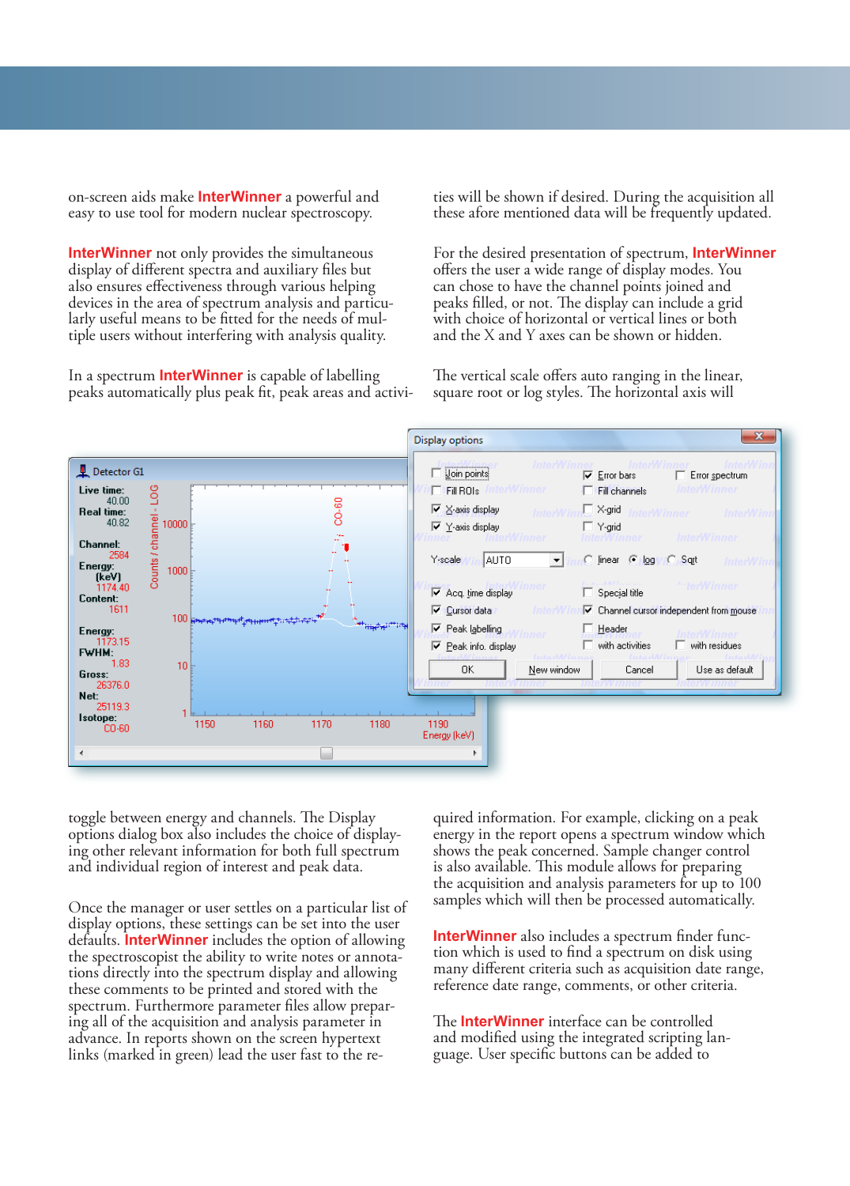on-screen aids make **InterWinner** a powerful and easy to use tool for modern nuclear spectroscopy.

**InterWinner** not only provides the simultaneous display of different spectra and auxiliary files but also ensures effectiveness through various helping larly useful means to be fitted for the needs of mul-<br>tiple users without interfering with analysis quality.

In a spectrum **InterWinner** is capable of labelling peaks automatically plus peak fit, peak areas and activities will be shown if desired. During the acquisition all these afore mentioned data will be frequently updated.

For the desired presentation of spectrum, **InterWinner** offers the user a wide range of display modes. You can chose to have the channel points joined and peaks filled, or not. The display can include a grid with choice of horizontal or vertical lines or both and the X and Y axes can be shown or hidden.

The vertical scale offers auto ranging in the linear, square root or log styles. The horizontal axis will



toggle between energy and channels. The Display options dialog box also includes the choice of display- ing other relevant information for both full spectrum and individual region of interest and peak data.

Once the manager or user settles on a particular list of display options, these settings can be set into the user defaults. **InterWinner** includes the option of allowing the spectroscopist the ability to write notes or annotations directly into the spectrum display and allowing these comments to be printed and stored with the spectrum. Furthermore parameter files allow preparing all of the acquisition and analysis parameter in advance. In reports shown on the screen hypertext links (marked in green) lead the user fast to the required information. For example, clicking on a peak energy in the report opens a spectrum window which shows the peak concerned. Sample changer control is also available. This module allows for preparing the acquisition and analysis parameters for up to 100 samples which will then be processed automatically.

**InterWinner** also includes a spectrum finder function which is used to find a spectrum on disk using many different criteria such as acquisition date range, reference date range, comments, or other criteria.

The **InterWinner** interface can be controlled and modified using the integrated scripting language. User specific buttons can be added to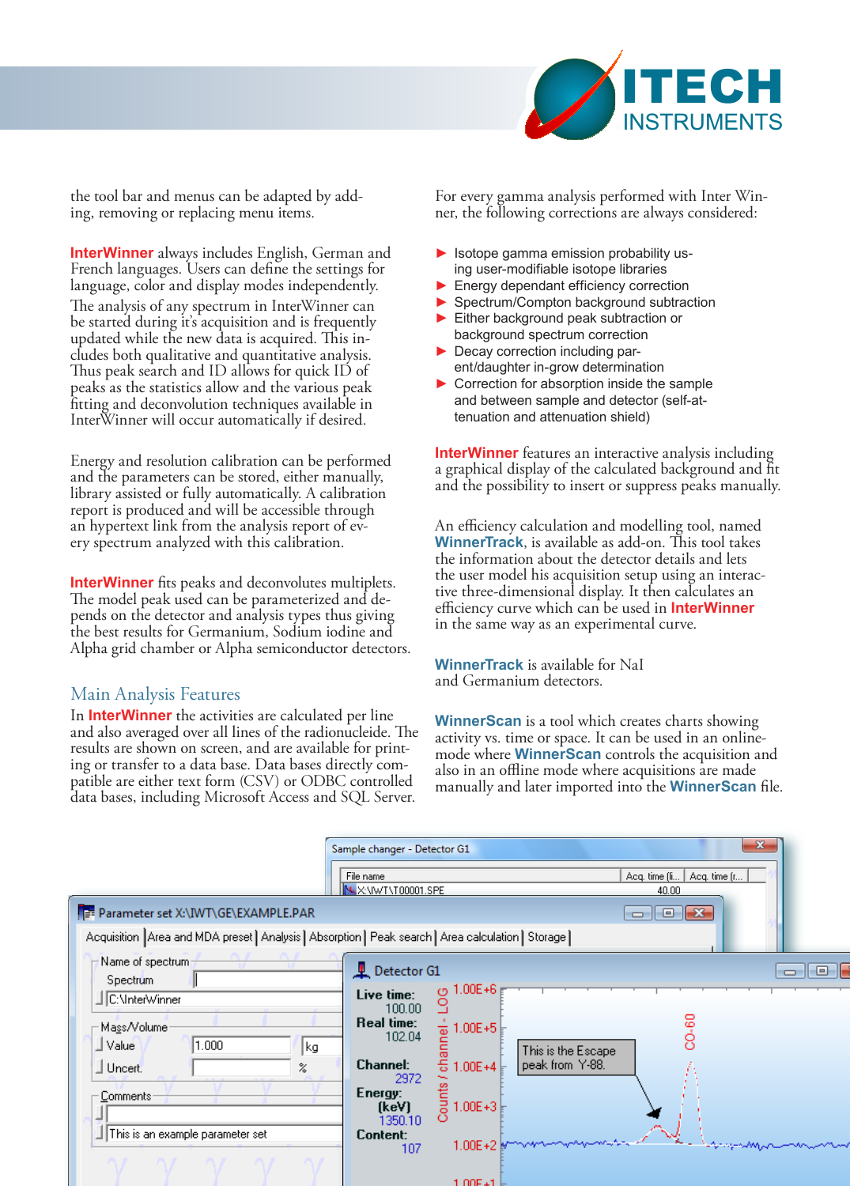

the tool bar and menus can be adapted by adding, removing or replacing menu items.

**InterWinner** always includes English, German and French languages. Users can define the settings for language, color and display modes independently. The analysis of any spectrum in InterWinner can be started during it's acquisition and is frequently updated while the new data is acquired. This includes both qualitative and quantitative analysis. Thus peak search and ID allows for quick ID of peaks as the statistics allow and the various peak fitting and deconvolution techniques available in InterWinner will occur automatically if desired.

Energy and resolution calibration can be performed and the parameters can be stored, either manually, library assisted or fully automatically. A calibration report is produced and will be accessible through an hypertext link from the analysis report of ev- ery spectrum analyzed with this calibration.

**InterWinner** fits peaks and deconvolutes multiplets. The model peak used can be parameterized and depends on the detector and analysis types thus giving the best results for Germanium, Sodium iodine and Alpha grid chamber or Alpha semiconductor detectors.

#### Main Analysis Features

In **InterWinner** the activities are calculated per line and also averaged over all lines of the radionucleide. The results are shown on screen, and are available for printing or transfer to a data base. Data bases directly compatible are either text form (CSV) or ODBC controlled data bases, including Microsoft Access and SQL Server.

For every gamma analysis performed with Inter Winner, the following corrections are always considered:

- ► Isotope gamma emission probability using user-modifiable isotope libraries
- ► Energy dependant efficiency correction
- ► Spectrum/Compton background subtraction
- ► Either background peak subtraction or background spectrum correction
- ► Decay correction including parent/daughter in-grow determination
- ▶ Correction for absorption inside the sample and between sample and detector (self-attenuation and attenuation shield)

**InterWinner** features an interactive analysis including a graphical display of the calculated background and fit and the possibility to insert or suppress peaks manually.

An efficiency calculation and modelling tool, named **WinnerTrack**, is available as add-on. This tool takes the information about the detector details and lets the user model his acquisition setup using an interac- tive three-dimensional display. It then calculates an efficiency curve which can be used in **InterWinner** in the same way as an experimental curve.

**WinnerTrack** is available for NaI and Germanium detectors.

**WinnerScan** is a tool which creates charts showing activity vs. time or space. It can be used in an onlinemode where **WinnerScan** controls the acquisition and also in an offline mode where acquisitions are made manually and later imported into the **WinnerScan** file.

|                                                                                                                                                                                                          | Sample changer - Detector G1<br>File name                                                                                                                                                                                                                                                                            | $-\mathbf{x}$<br>Acq. time [li]<br>Acq. time (r |
|----------------------------------------------------------------------------------------------------------------------------------------------------------------------------------------------------------|----------------------------------------------------------------------------------------------------------------------------------------------------------------------------------------------------------------------------------------------------------------------------------------------------------------------|-------------------------------------------------|
|                                                                                                                                                                                                          | M.X:\IWT\T00001.SPE                                                                                                                                                                                                                                                                                                  | 40.00                                           |
| Parameter set X:\IWT\GE\EXAMPLE.PAR                                                                                                                                                                      |                                                                                                                                                                                                                                                                                                                      | $\Box$ $\Box$ $\mathbf{x}$                      |
| Acquisition Area and MDA preset Analysis Absorption   Peak search   Area calculation   Storage                                                                                                           |                                                                                                                                                                                                                                                                                                                      |                                                 |
| Name of spectrum;<br>Spectrum<br>C:\InterWinner<br>Mass/Volume<br>1.000<br>∐ Value<br>kg<br>$\mathbin{\mathbb{I}}$ Uncert.<br>$\boldsymbol{\mathsf{z}}$<br>Comments:<br>This is an example parameter set | <b>L</b> Detector G1<br>1.00E+6<br>Live time:<br>9<br>100.00<br>Real time:<br>$\frac{1}{2}$ 1.00E+5<br>102.04<br>This is the Escape<br>÷,<br>peak from Y-88.<br><b>Channel:</b><br>$1.00E + 4$<br>2972<br>$\frac{1}{2}$ = 1.00E+3<br>Energy:<br>(keV)<br>1350.10<br>Content:<br>$1.00E + 2$ or monomorphisms.<br>107 | o-<br>CO-60<br>بمجهدة                           |